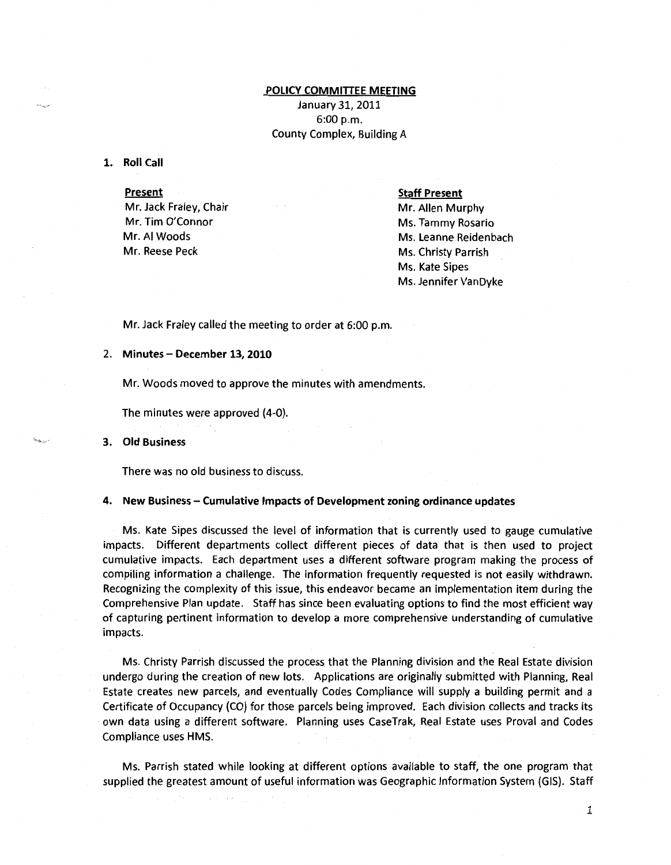# POLICY COMMITTEE MEETING

January 31, 2011  $6:00 p.m.$ County Complex, Building A

1. Roll Call

### **Present**

Mr. Jack Fraley, Chair Mr. Tim O'Connor Mr. AI Woods Mr. Reese Peck

#### Staff Present

Mr. Allen Murphy Ms. Tammy Rosario Ms. Leanne Reidenbach Ms. Christy Parrish Ms. Kate Sipes Ms. Jennifer VanDyke

Mr. Jack Fraley called the meeting to order at 6:00 p.m.

# 2. Minutes- December 13, 2010

Mr. Woods moved to approve the minutes with amendments.

The minutes were approved (4-0).

### 3. Old Business

There was no old business to discuss.

## 4. New Business- Cumulative Impacts of Development zoning ordinance updates

Ms. Kate Sipes discussed the level of information that is currently used to gauge cumulative impacts. Different departments collect different pieces of data that is then used to project cumulative impacts. Each department uses a different software program making the process of compiling information a challenge. The information frequently requested is not easily withdrawn. Recognizing the complexity of this issue, this endeavor became an implementation item during the Comprehensive Plan update. Staff has since been evaluating options to find the most efficient way of capturing pertinent information to develop a more comprehensive understanding of cumulative impacts.

Ms. Christy Parrish discussed the process that the Planning division and the Real Estate division undergo during the creation of new lots. Applications are originally submitted with Planning, Real Estate creates new parcels, and eventually Codes Compliance will supply a building permit and a Certificate of Occupancy (CO) for those parcels being improved. Each division collects and tracks its own data using a different software. Planning uses CaseTrak, Real Estate uses Proval and Codes Compliance uses HMS.

Ms. Parrish stated while looking at different options available to staff, the one program that supplied the greatest amount of useful information was Geographic Information System (GIS). Staff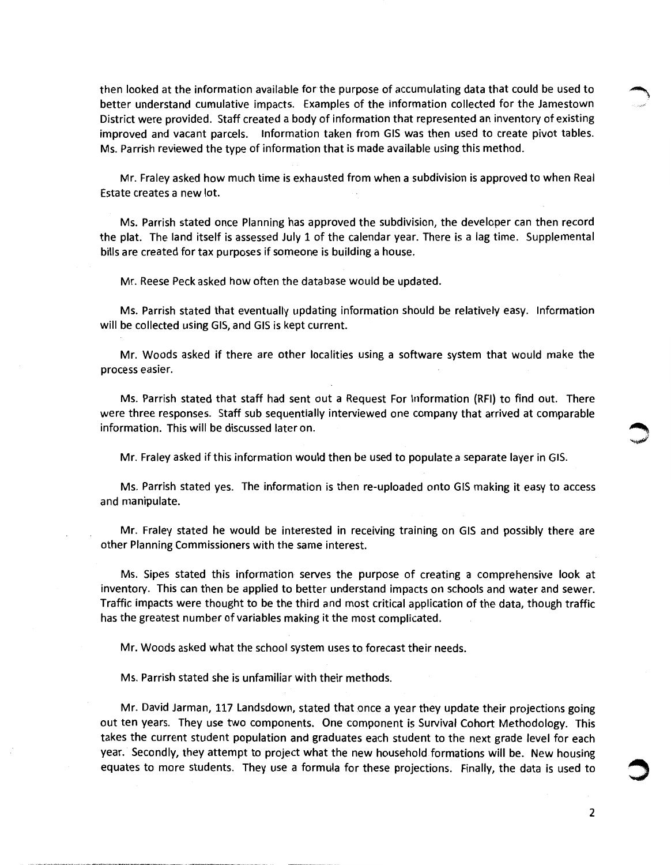then looked at the information available for the purpose of accumulating data that could be used to better understand cumulative impacts. Examples of the information collected for the Jamestown District were provided. Staff created a body of information that represented an inventory of existing improved and vacant parcels. Information taken from GIS was then used to create pivot tables. Ms. Parrish reviewed the type of information that is made available using this method.

Mr. Fraley asked how much time is exhausted from when a subdivision is approved to when Real Estate creates a new lot.

Ms. Parrish stated once Planning has approved the subdivision, the developer can then record the plat. The land itself is assessed July 1 of the calendar year. There is a lag time. Supplemental bills are created for tax purposes if someone is building a house.

Mr. Reese Peck asked how often the database would be updated.

Ms. Parrish stated that eventually updating information should be relatively easy. Information will be collected using GIS, and GIS is kept current.

Mr. Woods asked if there are other localities using a software system that would make the process easier.

Ms. Parrish stated that staff had sent out a Request For Information (RFI) to find out. There were three responses. Staff sub sequentially interviewed one company that arrived at comparable information. This will be discussed later on. ~

Mr. Fraley asked if this information would then be used to populate a separate layer in GIS.

Ms. Parrish stated yes. The information is then re-uploaded onto GIS making it easy to access and manipulate.

Mr. Fraley stated he would be interested in receiving training on GIS and possibly there are other Planning Commissioners with the same interest.

Ms. Sipes stated this information serves the purpose of creating a comprehensive look at inventory. This can then be applied to better understand impacts on schools and water and sewer. Traffic impacts were thought to be the third and most critical application of the data, though traffic has the greatest number of variables making it the most complicated.

Mr. Woods asked what the school system uses to forecast their needs.

Ms. Parrish stated she is unfamiliar with their methods.

Mr. David Jarman, 117 Landsdown, stated that once a year they update their projections going out ten years. They use two components. One component is Survival Cohort Methodology. This takes the current student population and graduates each student to the next grade level for each year. Secondly, they attempt to project what the new household formations will be. New housing equates to more students. They use a formula for these projections. Finally, the data is used to

2

**~**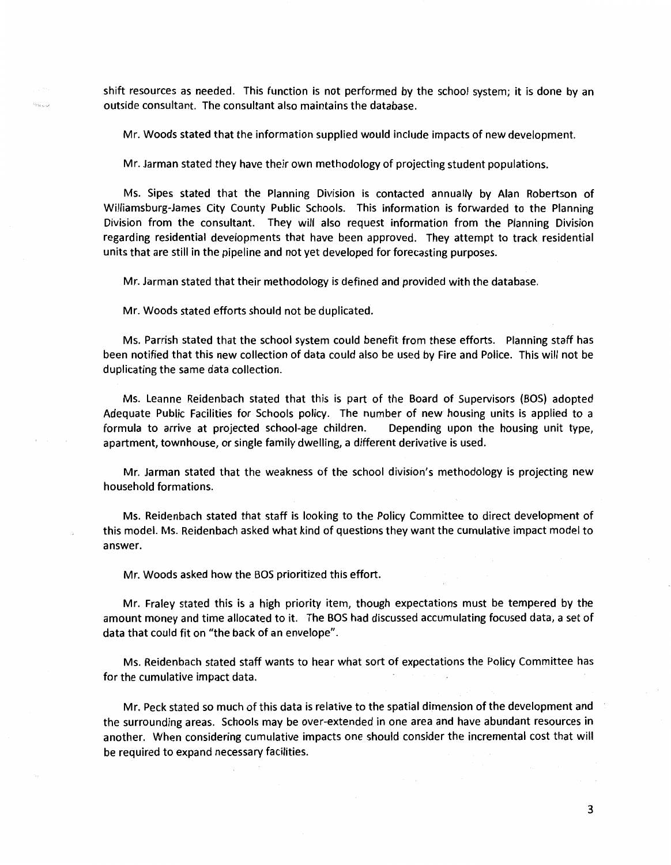shift resources as needed. This function is not performed by the school system; it is done by an outside consultant. The consultant also maintains the database.

Mr. Woods stated that the information supplied would include impacts of new development.

Mr. Jarman stated they have their own methodology of projecting student populations.

Ms. Sipes stated that the Planning Division is contacted annually by Alan Robertson of Williamsburg-James City County Public Schools. This information is forwarded to the Planning Division from the consultant. They will also request information from the Planning Division regarding residential developments that have been approved. They attempt to track residential units that are still in the pipeline and not yet developed for forecasting purposes.

Mr. Jarman stated that their methodology is defined and provided with the database.

Mr. Woods stated efforts should not be duplicated.

سيخت

Ms. Parrish stated that the school system could benefit from these efforts. Planning staff has been notified that this new collection of data could also be used by Fire and Police. This will not be duplicating the same data collection.

Ms. Leanne Reidenbach stated that this is part of the Board of Supervisors (BOS) adopted Adequate Public Facilities for Schools policy. The number of new housing units is applied to a formula to arrive at projected school-age children. Depending upon the housing unit type, apartment, townhouse, or single family dwelling, a different derivative is used.

Mr. Jarman stated that the weakness of the school division's methodology is projecting new household formations.

Ms. Reidenbach stated that staff is looking to the Policy Committee to direct development of this model. Ms. Reidenbach asked what kind of questions they want the cumulative impact model to answer.

Mr. Woods asked how the BOS prioritized this effort.

Mr. Fraley stated this is a high priority item, though expectations must be tempered by the amount money and time allocated to it. The BOS had discussed accumulating focused data, a set of data that could fit on "the back of an envelope".

Ms. Reidenbach stated staff wants to hear what sort of expectations the Policy Committee has for the cumulative impact data.

Mr. Peck stated so much of this data is relative to the spatial dimension of the development and the surrounding areas. Schools may be over-extended in one area and have abundant resources in another. When considering cumulative impacts one should consider the incremental cost that will be required to expand necessary facilities.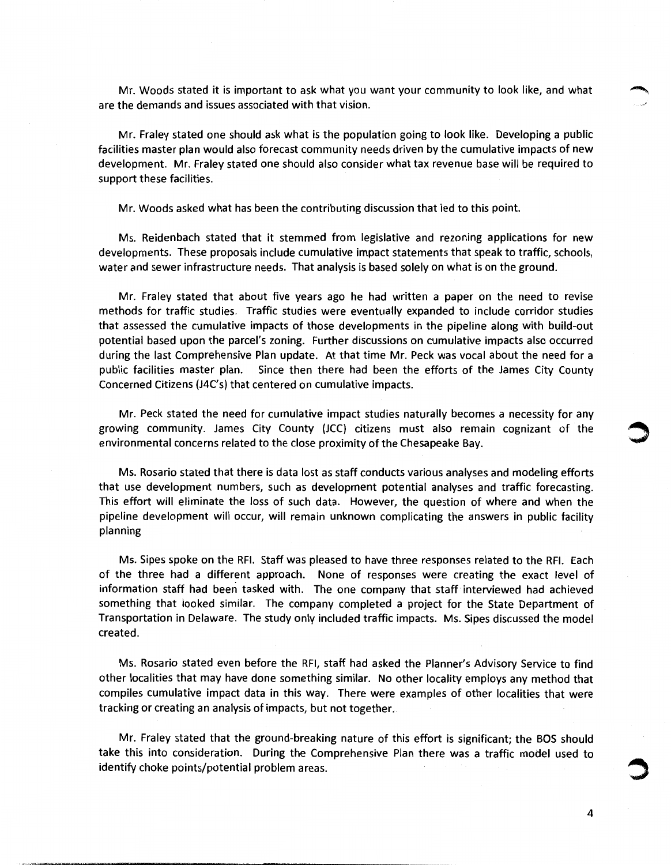Mr. Woods stated it is important to ask what you want your community to look like, and what are the demands and issues associated with that vision.

Mr. Fraley stated one should ask what is the population going to look like. Developing a public facilities master plan would also forecast community needs driven by the cumulative impacts of new development. Mr. Fraley stated one should also consider what tax revenue base will be required to support these facilities.

Mr. Woods asked what has been the contributing discussion that led to this point.

Ms. Reidenbach stated that it stemmed from legislative and rezoning applications for new developments. These proposals include cumulative impact statements that speak to traffic, schools, water and sewer infrastructure needs. That analysis is based solely on what is on the ground.

Mr. Fraley stated that about five years ago he had written a paper on the need to revise methods for traffic studies. Traffic studies were eventually expanded to include corridor studies that assessed the cumulative impacts of those developments in the pipeline along with build-out potential based upon the parcel's zoning. Further discussions on cumulative impacts also occurred during the last Comprehensive Plan update. At that time Mr. Peck was vocal about the need for a public facilities master plan. Since then there had been the efforts of the James City County Concerned Citizens (J4C's) that centered on cumulative impacts.

Mr. Peck stated the need for cumulative impact studies naturally becomes a necessity for any growing community. James City County (JCC) citizens must also remain cognizant of the environmental concerns related to the close proximity of the Chesapeake Bay.

Ms. Rosario stated that there is data lost as staff conducts various analyses and modeling efforts that use development numbers, such as development potential analyses and traffic forecasting. This effort will eliminate the loss of such data. However, the question of where and when the pipeline development will occur, will remain unknown complicating the answers in public facility planning

Ms. Sipes spoke on the RFI. Staff was pleased to have three responses related to the RFI. Each of the three had a different approach. None of responses were creating the exact level of information staff had been tasked with. The one company that staff interviewed had achieved something that looked similar. The company completed a project for the State Department of Transportation in Delaware. The study only included traffic impacts. Ms. Sipes discussed the model created.

Ms. Rosario stated even before the RFI, staff had asked the Planner's Advisory Service to find other localities that may have done something similar. No other locality employs any method that compiles cumulative impact data in this way. There were examples of other localities that were tracking or creating an analysis of impacts, but not together.

Mr. Fraley stated that the ground-breaking nature of this effort is significant; the BOS should take this into consideration. During the Comprehensive Plan there was a traffic model used to identify choke points/potential problem areas.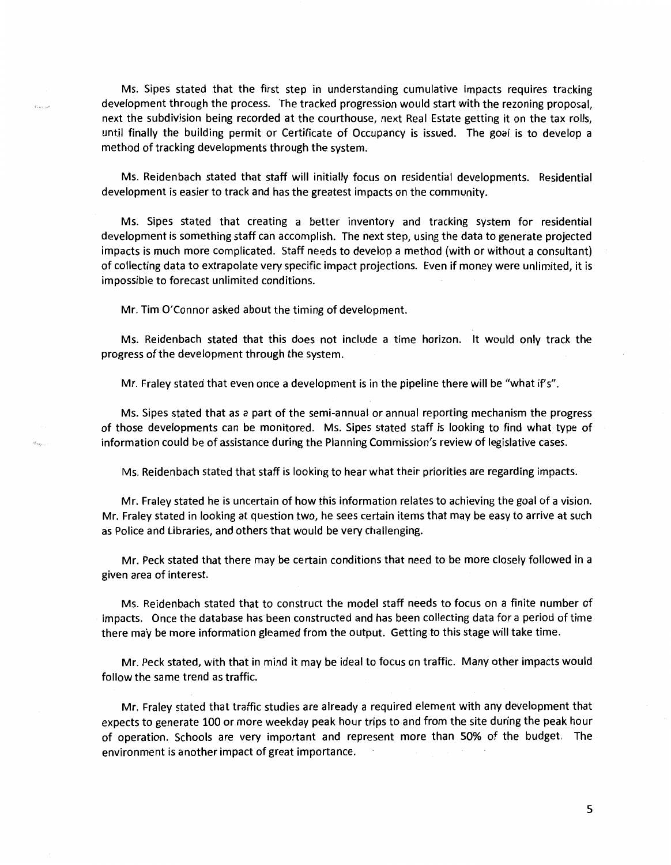Ms. Sipes stated that the first step in understanding cumulative impacts requires tracking development through the process. The tracked progression would start with the rezoning proposal, next the subdivision being recorded at the courthouse, next Real Estate getting it on the tax rolls, until finally the building permit or Certificate of Occupancy is issued. The goal is to develop a method of tracking developments through the system.

Ms. Reidenbach stated that staff will initially focus on residential developments. Residential development is easier to track and has the greatest impacts on the community.

Ms. Sipes stated that creating a better inventory and tracking system for residential development is something staff can accomplish. The next step, using the data to generate projected impacts is much more complicated. Staff needs to develop a method (with or without a consultant) of collecting data to extrapolate very specific impact projections. Even if money were unlimited, it is impossible to forecast unlimited conditions.

Mr. Tim O'Connor asked about the timing of development.

Ms. Reidenbach stated that this does not include a time horizon. It would only track the progress of the development through the system.

Mr. Fraley stated that even once a development is in the pipeline there will be "what if's".

Ms. Sipes stated that as a part of the semi-annual or annual reporting mechanism the progress of those developments can be monitored. Ms. Sipes stated staff is looking to find what type of information could be of assistance during the Planning Commission's review of legislative cases.

Ms. Reidenbach stated that staff is looking to hear what their priorities are regarding impacts.

Mr. Fraley stated he is uncertain of how this information relates to achieving the goal of a vision. Mr. Fraley stated in looking at question two, he sees certain items that may be easy to arrive at such as Police and Libraries, and others that would be very challenging.

Mr. Peck stated that there may be certain conditions that need to be more closely followed in a given area of interest.

Ms. Reidenbach stated that to construct the model staff needs to focus on a finite number of impacts. Once the database has been constructed and has been collecting data for a period of time there may be more information gleamed from the output. Getting to this stage will take time.

Mr. Peck stated, with that in mind it may be ideal to focus on traffic. Many other impacts would follow the same trend as traffic.

Mr. Fraley stated that traffic studies are already a required element with any development that expects to generate 100 or more weekday peak hour trips to and from the site during the peak hour of operation. Schools are very important and represent more than 50% of the budget. The environment is another impact of great importance.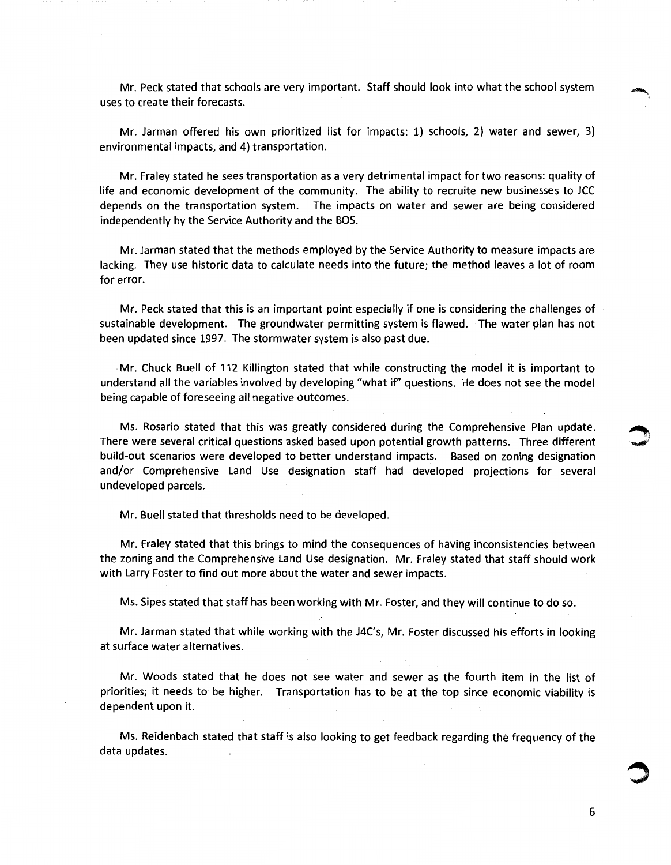Mr. Peck stated that schools are very important. Staff should look into what the school system uses to create their forecasts.

Mr. Jarman offered his own prioritized list for impacts: 1) schools, 2) water and sewer, 3) environmental impacts, and 4) transportation.

Mr. Fraley stated he sees transportation as a very detrimental impact for two reasons: quality of life and economic development of the community. The ability to recruite new businesses to JCC depends on the transportation system. The impacts on water and sewer are being considered independently by the Service Authority and the BOS.

Mr. Jarman stated that the methods employed by the Service Authority to measure impacts are lacking. They use historic data to calculate needs into the future; the method leaves a lot of room for error.

Mr. Peck stated that this is an important point especially if one is considering the challenges of sustainable development. The groundwater permitting system is flawed. The water plan has not been updated since 1997. The stormwater system is also past due.

Mr. Chuck Buell of 112 Killington stated that while constructing the model it is important to understand all the variables involved by developing "what if' questions. He does not see the model being capable of foreseeing all negative outcomes.

Ms. Rosario stated that this was greatly considered during the Comprehensive Plan update. There were several critical questions asked based upon potential growth patterns. Three different ~ build-out scenarios were developed to better understand impacts. Based on zoning designation and/or Comprehensive Land Use designation staff had developed projections for several undeveloped parcels.

Mr. Buell stated that thresholds need to be developed.

Mr. Fraley stated that this brings to mind the consequences of having inconsistencies between the zoning and the Comprehensive Land Use designation. Mr. Fraley stated that staff should work with Larry Foster to find out more about the water and sewer impacts.

Ms. Sipes stated that staff has been working with Mr. Foster, and they will continue to do so.

Mr. Jarman stated that while working with the J4C's, Mr. Foster discussed his efforts in looking at surface water alternatives.

Mr. Woods stated that he does not see water and sewer as the fourth item in the list of priorities; it needs to be higher. Transportation has to be at the top since economic viability is dependent upon it.

Ms. Reidenbach stated that staff is also looking to get feedback regarding the frequency of the data updates.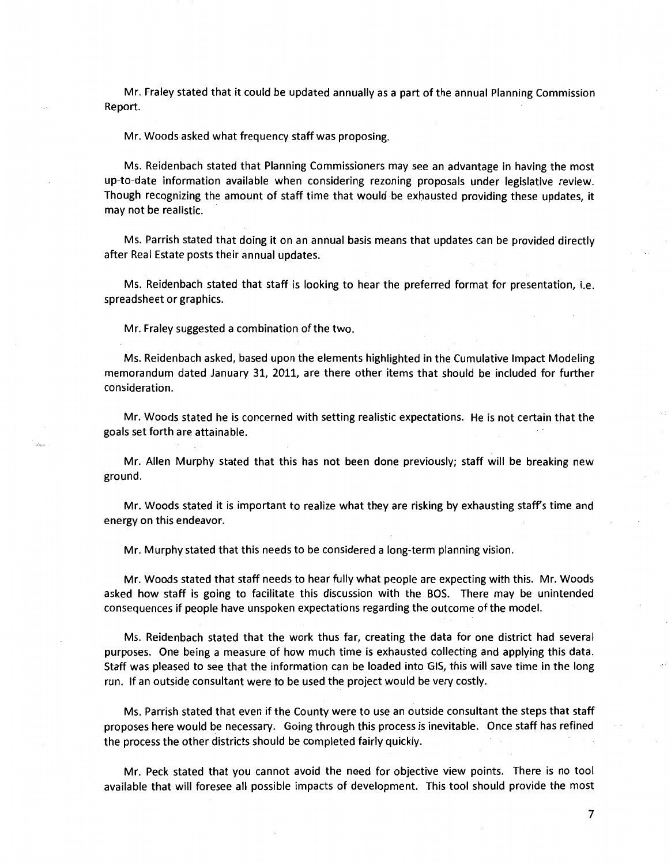Mr. Fraley stated that it could be updated annually as a part of the annual Planning Commission Report.

Mr. Woods asked what frequency staff was proposing.

Ms. Reidenbach stated that Planning Commissioners may see an advantage in having the most up-to-date information available when considering rezoning proposals under legislative review. Though recognizing the amount of staff time that would be exhausted providing these updates, it may not be realistic.

Ms. Parrish stated that doing it on an annual basis means that updates can be provided directly after Real Estate posts their annual updates.

Ms. Reidenbach stated that staff is looking to hear the preferred format for presentation, i.e. spreadsheet or graphics.

Mr. Fraley suggested a combination of the two.

Ms. Reidenbach asked, based upon the elements highlighted in the Cumulative Impact Modeling memorandum dated January 31, 2011, are there other items that should be included for further consideration.

Mr. Woods stated he is concerned with setting realistic expectations. He is not certain that the goals set forth are attainable.

Mr. Allen Murphy stated that this has not been done previously; staff will be breaking new ground.

Mr. Woods stated it is important to realize what they are risking by exhausting staff's time and energy on this endeavor.

Mr. Murphy stated that this needs to be considered a long-term planning vision.

Mr. Woods stated that staff needs to hear fully what people are expecting with this. Mr. Woods asked how staff is going to facilitate this discussion with the BOS. There may be unintended consequences if people have unspoken expectations regarding the outcome of the model.

Ms. Reidenbach stated that the work thus far, creating the data for one district had several purposes. One being a measure of how much time is exhausted collecting and applying this data. Staff was pleased to see that the information can be loaded into GIS, this will save time in the long run. If an outside consultant were to be used the project would be very costly.

Ms. Parrish stated that even if the County were to use an outside consultant the steps that staff proposes here would be necessary. Going through this process is inevitable. Once staff has refined the process the other districts should be completed fairly quickly.

Mr. Peck stated that you cannot avoid the need for objective view points. There is no tool available that will foresee all possible impacts of development. This tool should provide the most